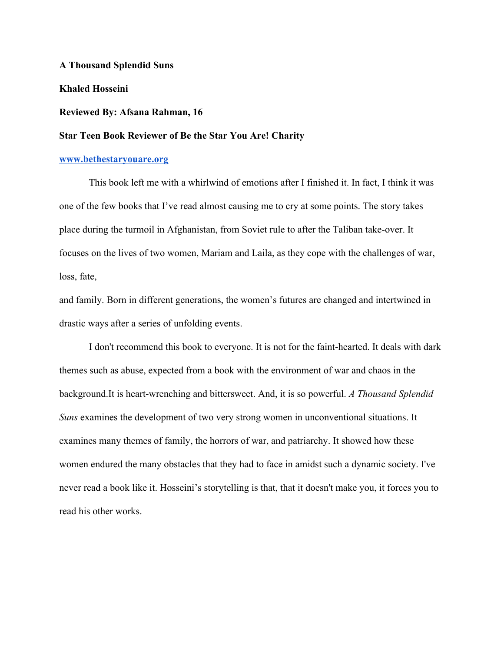**A Thousand Splendid Suns**

**Khaled Hosseini**

## **Reviewed By: Afsana Rahman, 16**

## **Star Teen Book Reviewer of Be the Star You Are! Charity**

## **[www.bethestaryouare.org](http://www.bethestaryouare.org/)**

This book left me with a whirlwind of emotions after I finished it. In fact, I think it was one of the few books that I've read almost causing me to cry at some points. The story takes place during the turmoil in Afghanistan, from Soviet rule to after the Taliban take-over. It focuses on the lives of two women, Mariam and Laila, as they cope with the challenges of war, loss, fate,

and family. Born in different generations, the women's futures are changed and intertwined in drastic ways after a series of unfolding events.

I don't recommend this book to everyone. It is not for the faint-hearted. It deals with dark themes such as abuse, expected from a book with the environment of war and chaos in the background.It is heart-wrenching and bittersweet. And, it is so powerful. *A Thousand Splendid Suns* examines the development of two very strong women in unconventional situations. It examines many themes of family, the horrors of war, and patriarchy. It showed how these women endured the many obstacles that they had to face in amidst such a dynamic society. I've never read a book like it. Hosseini's storytelling is that, that it doesn't make you, it forces you to read his other works.